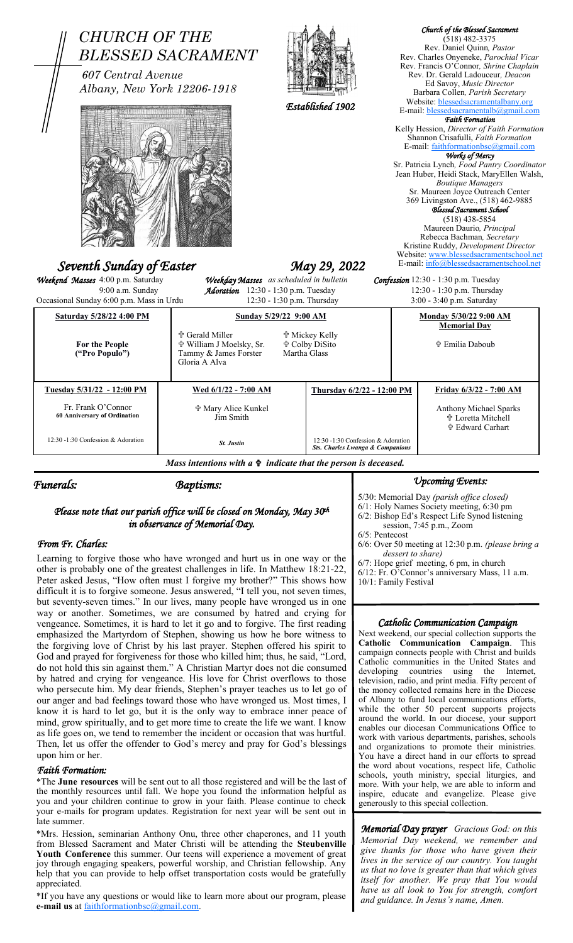| <b>CHURCH OF THE</b><br>607 Central Avenue<br>Albany, New York 12206-1918<br>Seventh Sunday of Easter<br>Weekend Masses 4:00 p.m. Saturday<br>9:00 a.m. Sunday | <b>BLESSED SACRAMENT</b><br>Weekday Masses as scheduled in bulletin<br>Adoration 12:30 - 1:30 p.m. Tuesday | Established 1902<br>May 29, 2022                                                         |                                                                                   | Church of the Blessed Sacrament<br>$(518)$ 482-3375<br>Rev. Daniel Quinn, Pastor<br>Rev. Charles Onyeneke, Parochial Vicar<br>Rev. Francis O'Connor, Shrine Chaplain<br>Rev. Dr. Gerald Ladouceur, Deacon<br>Ed Savoy, Music Director<br>Barbara Collen, Parish Secretary<br>Website: blessedsacramentalbany.org<br>E-mail: blessedsacramentalb@gmail.com<br><b>Faith Formation</b><br>Kelly Hession, Director of Faith Formation<br>Shannon Crisafulli, Faith Formation<br>E-mail: faithformationbsc@gmail.com<br>Works of Mercy<br>Sr. Patricia Lynch, Food Pantry Coordinator<br>Jean Huber, Heidi Stack, MaryEllen Walsh,<br><b>Boutique Managers</b><br>Sr. Maureen Joyce Outreach Center<br>369 Livingston Ave., (518) 462-9885<br>Blessed Sacrament School<br>$(518)$ 438-5854<br>Maureen Daurio, Principal<br>Rebecca Bachman, Secretary<br>Kristine Ruddy, Development Director<br>Website: www.blessedsacramentschool.net<br>E-mail: info@blessedsacramentschool.net<br>Confession 12:30 - 1:30 p.m. Tuesday<br>12:30 - 1:30 p.m. Thursday |
|----------------------------------------------------------------------------------------------------------------------------------------------------------------|------------------------------------------------------------------------------------------------------------|------------------------------------------------------------------------------------------|-----------------------------------------------------------------------------------|------------------------------------------------------------------------------------------------------------------------------------------------------------------------------------------------------------------------------------------------------------------------------------------------------------------------------------------------------------------------------------------------------------------------------------------------------------------------------------------------------------------------------------------------------------------------------------------------------------------------------------------------------------------------------------------------------------------------------------------------------------------------------------------------------------------------------------------------------------------------------------------------------------------------------------------------------------------------------------------------------------------------------------------------------|
| Occasional Sunday 6:00 p.m. Mass in Urdu                                                                                                                       | 12:30 - 1:30 p.m. Thursday                                                                                 |                                                                                          |                                                                                   | 3:00 - 3:40 p.m. Saturday                                                                                                                                                                                                                                                                                                                                                                                                                                                                                                                                                                                                                                                                                                                                                                                                                                                                                                                                                                                                                            |
| Saturday 5/28/22 4:00 PM<br>For the People<br>("Pro Populo")                                                                                                   | <b>† Gerald Miller</b><br>☆ William J Moelsky, Sr.<br>Tammy & James Forster<br>Gloria A Alva               | Sunday 5/29/22 9:00 AM<br><b>廿 Mickey Kelly</b><br><b>† Colby DiSito</b><br>Martha Glass |                                                                                   | Monday 5/30/22 9:00 AM<br><b>Memorial Day</b><br><b>† Emilia Daboub</b>                                                                                                                                                                                                                                                                                                                                                                                                                                                                                                                                                                                                                                                                                                                                                                                                                                                                                                                                                                              |
| Tuesday 5/31/22 - 12:00 PM                                                                                                                                     | Wed 6/1/22 - 7:00 AM                                                                                       |                                                                                          | Thursday 6/2/22 - 12:00 PM                                                        | Friday 6/3/22 - 7:00 AM                                                                                                                                                                                                                                                                                                                                                                                                                                                                                                                                                                                                                                                                                                                                                                                                                                                                                                                                                                                                                              |
| Fr. Frank O'Connor<br>60 Anniversary of Ordination                                                                                                             | ☆ Mary Alice Kunkel<br>Jim Smith                                                                           |                                                                                          |                                                                                   | Anthony Michael Sparks<br>† Loretta Mitchell<br>n Edward Carhart                                                                                                                                                                                                                                                                                                                                                                                                                                                                                                                                                                                                                                                                                                                                                                                                                                                                                                                                                                                     |
| 12:30 -1:30 Confession & Adoration                                                                                                                             | <b>St. Justin</b>                                                                                          |                                                                                          | 12:30 -1:30 Confession & Adoration<br><b>Sts. Charles Lwanga &amp; Companions</b> |                                                                                                                                                                                                                                                                                                                                                                                                                                                                                                                                                                                                                                                                                                                                                                                                                                                                                                                                                                                                                                                      |
| Mass intentions with $a \oplus indicate$ that the person is deceased.                                                                                          |                                                                                                            |                                                                                          |                                                                                   |                                                                                                                                                                                                                                                                                                                                                                                                                                                                                                                                                                                                                                                                                                                                                                                                                                                                                                                                                                                                                                                      |
| Funerals:<br><b>Baptisms:</b>                                                                                                                                  |                                                                                                            |                                                                                          | <b><i>Upcoming Events:</i></b>                                                    |                                                                                                                                                                                                                                                                                                                                                                                                                                                                                                                                                                                                                                                                                                                                                                                                                                                                                                                                                                                                                                                      |

## *Please note that our parish office will be closed on Monday, May 30th in observance of Memorial Day.*

## *From Fr. Charles:*

Learning to forgive those who have wronged and hurt us in one way or the other is probably one of the greatest challenges in life. In Matthew 18:21-22, Peter asked Jesus, "How often must I forgive my brother?" This shows how difficult it is to forgive someone. Jesus answered, "I tell you, not seven times, but seventy-seven times." In our lives, many people have wronged us in one way or another. Sometimes, we are consumed by hatred and crying for vengeance. Sometimes, it is hard to let it go and to forgive. The first reading emphasized the Martyrdom of Stephen, showing us how he bore witness to the forgiving love of Christ by his last prayer. Stephen offered his spirit to God and prayed for forgiveness for those who killed him; thus, he said, "Lord, do not hold this sin against them." A Christian Martyr does not die consumed by hatred and crying for vengeance. His love for Christ overflows to those who persecute him. My dear friends, Stephen's prayer teaches us to let go of our anger and bad feelings toward those who have wronged us. Most times, I know it is hard to let go, but it is the only way to embrace inner peace of mind, grow spiritually, and to get more time to create the life we want. I know as life goes on, we tend to remember the incident or occasion that was hurtful. Then, let us offer the offender to God's mercy and pray for God's blessings upon him or her.

### *Faith Formation:*

\*The **June resources** will be sent out to all those registered and will be the last of the monthly resources until fall. We hope you found the information helpful as you and your children continue to grow in your faith. Please continue to check your e-mails for program updates. Registration for next year will be sent out in late summer.

\*Mrs. Hession, seminarian Anthony Onu, three other chaperones, and 11 youth from Blessed Sacrament and Mater Christi will be attending the **Steubenville Youth Conference** this summer. Our teens will experience a movement of great joy through engaging speakers, powerful worship, and Christian fellowship. Any help that you can provide to help offset transportation costs would be gratefully appreciated.

\*If you have any questions or would like to learn more about our program, please **e-mail us** at [faithformationbsc@gmail.com.](mailto:faithformationbsc@gmail.com)

5/30: Memorial Day *(parish office closed)*

6/1: Holy Names Society meeting, 6:30 pm

6/2: Bishop Ed's Respect Life Synod listening session, 7:45 p.m., Zoom

6/5: Pentecost

- 6/6: Over 50 meeting at 12:30 p.m. *(please bring a dessert to share)*
- 6/7: Hope grief meeting, 6 pm, in church
- 6/12: Fr. O'Connor's anniversary Mass, 11 a.m.

10/1: Family Festival

# *Catholic Communication Campaign*

Next weekend, our special collection supports the **Catholic Communication Campaign**. This campaign connects people with Christ and builds Catholic communities in the United States and developing countries using the Internet. developing countries using the television, radio, and print media. Fifty percent of the money collected remains here in the Diocese of Albany to fund local communications efforts, while the other 50 percent supports projects around the world. In our diocese, your support enables our diocesan Communications Office to work with various departments, parishes, schools and organizations to promote their ministries. You have a direct hand in our efforts to spread the word about vocations, respect life, Catholic schools, youth ministry, special liturgies, and more. With your help, we are able to inform and inspire, educate and evangelize. Please give generously to this special collection.

*Memorial Day prayer Gracious God: on this Memorial Day weekend, we remember and give thanks for those who have given their lives in the service of our country. You taught us that no love is greater than that which gives itself for another. We pray that You would have us all look to You for strength, comfort and guidance. In Jesus's name, Amen.*